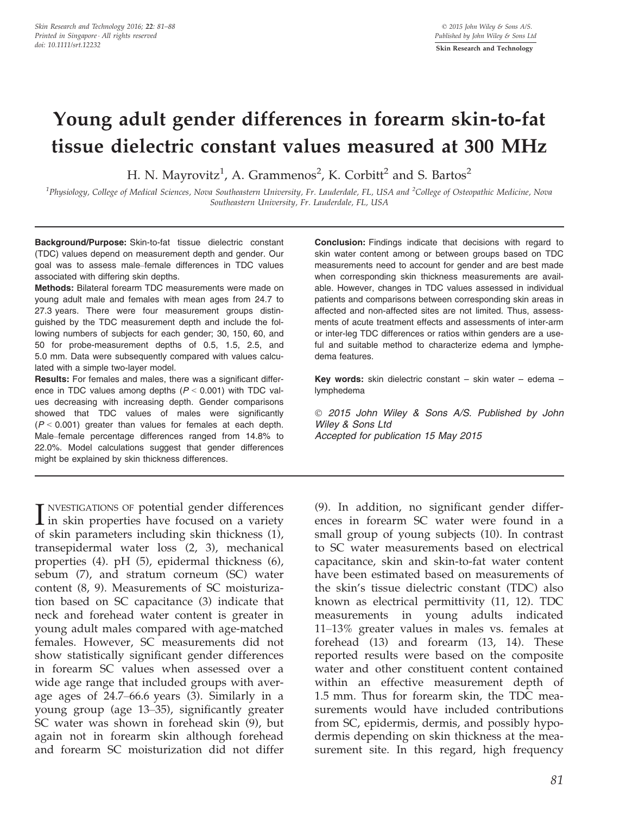# Young adult gender differences in forearm skin-to-fat tissue dielectric constant values measured at 300 MHz

H. N. Mayrovitz $^1$ , A. Grammenos $^2$ , K. Corbitt $^2$  and S. Bartos $^2$ 

<sup>1</sup>Physiology, College of Medical Sciences, Nova Southeastern University, Fr. Lauderdale, FL, USA and <sup>2</sup>College of Osteopathic Medicine, Nova Southeastern University, Fr. Lauderdale, FL, USA

Background/Purpose: Skin-to-fat tissue dielectric constant (TDC) values depend on measurement depth and gender. Our goal was to assess male–female differences in TDC values associated with differing skin depths.

Methods: Bilateral forearm TDC measurements were made on young adult male and females with mean ages from 24.7 to 27.3 years. There were four measurement groups distinguished by the TDC measurement depth and include the following numbers of subjects for each gender; 30, 150, 60, and 50 for probe-measurement depths of 0.5, 1.5, 2.5, and 5.0 mm. Data were subsequently compared with values calculated with a simple two-layer model.

Results: For females and males, there was a significant difference in TDC values among depths  $(P < 0.001)$  with TDC values decreasing with increasing depth. Gender comparisons showed that TDC values of males were significantly  $(P < 0.001)$  greater than values for females at each depth. Male–female percentage differences ranged from 14.8% to 22.0%. Model calculations suggest that gender differences might be explained by skin thickness differences.

I NVESTIGATIONS OF potential gender differences<br>in skin properties have focused on a variety<br>of akin parameters including akin this mass (1) NVESTIGATIONS OF potential gender differences of skin parameters including skin thickness (1), transepidermal water loss (2, 3), mechanical properties (4). pH (5), epidermal thickness (6), sebum (7), and stratum corneum (SC) water content (8, 9). Measurements of SC moisturization based on SC capacitance (3) indicate that neck and forehead water content is greater in young adult males compared with age-matched females. However, SC measurements did not show statistically significant gender differences in forearm SC values when assessed over a wide age range that included groups with average ages of 24.7–66.6 years (3). Similarly in a young group (age 13–35), significantly greater SC water was shown in forehead skin (9), but again not in forearm skin although forehead and forearm SC moisturization did not differ

Conclusion: Findings indicate that decisions with regard to skin water content among or between groups based on TDC measurements need to account for gender and are best made when corresponding skin thickness measurements are available. However, changes in TDC values assessed in individual patients and comparisons between corresponding skin areas in affected and non-affected sites are not limited. Thus, assessments of acute treatment effects and assessments of inter-arm or inter-leg TDC differences or ratios within genders are a useful and suitable method to characterize edema and lymphedema features.

Key words: skin dielectric constant – skin water – edema – lymphedema

 2015 John Wiley & Sons A/S. Published by John Wiley & Sons Ltd Accepted for publication 15 May 2015

(9). In addition, no significant gender differences in forearm SC water were found in a small group of young subjects (10). In contrast to SC water measurements based on electrical capacitance, skin and skin-to-fat water content have been estimated based on measurements of the skin's tissue dielectric constant (TDC) also known as electrical permittivity (11, 12). TDC measurements in young adults indicated 11–13% greater values in males vs. females at forehead (13) and forearm (13, 14). These reported results were based on the composite water and other constituent content contained within an effective measurement depth of 1.5 mm. Thus for forearm skin, the TDC measurements would have included contributions from SC, epidermis, dermis, and possibly hypodermis depending on skin thickness at the measurement site. In this regard, high frequency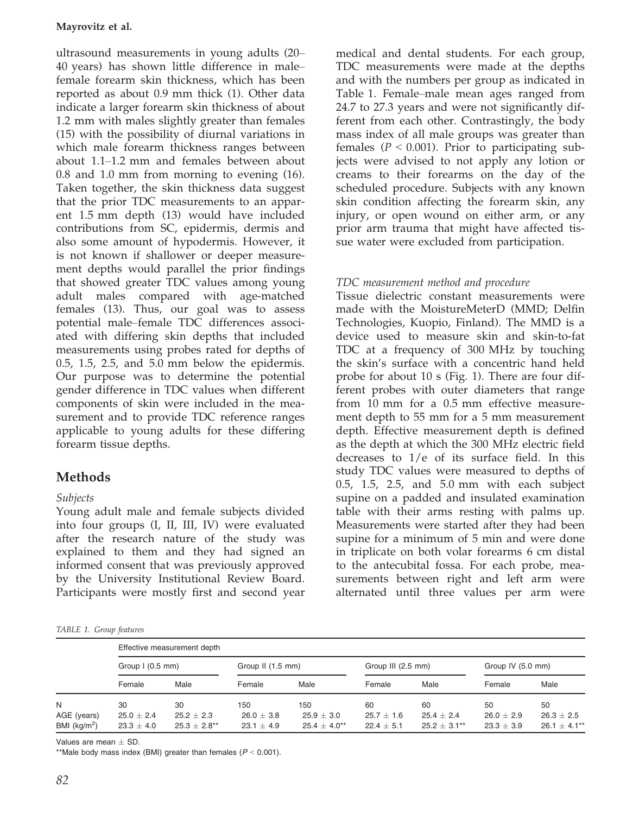ultrasound measurements in young adults (20– 40 years) has shown little difference in male– female forearm skin thickness, which has been reported as about 0.9 mm thick (1). Other data indicate a larger forearm skin thickness of about 1.2 mm with males slightly greater than females (15) with the possibility of diurnal variations in which male forearm thickness ranges between about 1.1–1.2 mm and females between about 0.8 and 1.0 mm from morning to evening (16). Taken together, the skin thickness data suggest that the prior TDC measurements to an apparent 1.5 mm depth (13) would have included contributions from SC, epidermis, dermis and also some amount of hypodermis. However, it is not known if shallower or deeper measurement depths would parallel the prior findings that showed greater TDC values among young adult males compared with age-matched females (13). Thus, our goal was to assess potential male–female TDC differences associated with differing skin depths that included measurements using probes rated for depths of 0.5, 1.5, 2.5, and 5.0 mm below the epidermis. Our purpose was to determine the potential gender difference in TDC values when different components of skin were included in the measurement and to provide TDC reference ranges applicable to young adults for these differing forearm tissue depths.

# Methods

# Subjects

Young adult male and female subjects divided into four groups (I, II, III, IV) were evaluated after the research nature of the study was explained to them and they had signed an informed consent that was previously approved by the University Institutional Review Board. Participants were mostly first and second year

TABLE 1. Group features

medical and dental students. For each group, TDC measurements were made at the depths and with the numbers per group as indicated in Table 1. Female–male mean ages ranged from 24.7 to 27.3 years and were not significantly different from each other. Contrastingly, the body mass index of all male groups was greater than females ( $P < 0.001$ ). Prior to participating subjects were advised to not apply any lotion or creams to their forearms on the day of the scheduled procedure. Subjects with any known skin condition affecting the forearm skin, any injury, or open wound on either arm, or any prior arm trauma that might have affected tissue water were excluded from participation.

# TDC measurement method and procedure

Tissue dielectric constant measurements were made with the MoistureMeterD (MMD; Delfin Technologies, Kuopio, Finland). The MMD is a device used to measure skin and skin-to-fat TDC at a frequency of 300 MHz by touching the skin's surface with a concentric hand held probe for about 10 s (Fig. 1). There are four different probes with outer diameters that range from 10 mm for a 0.5 mm effective measurement depth to 55 mm for a 5 mm measurement depth. Effective measurement depth is defined as the depth at which the 300 MHz electric field decreases to 1/e of its surface field. In this study TDC values were measured to depths of 0.5, 1.5, 2.5, and 5.0 mm with each subject supine on a padded and insulated examination table with their arms resting with palms up. Measurements were started after they had been supine for a minimum of 5 min and were done in triplicate on both volar forearms 6 cm distal to the antecubital fossa. For each probe, measurements between right and left arm were alternated until three values per arm were

|                              | Effective measurement depth      |                                |                              |                                |                                  |                                  |                                  |                                |  |  |  |
|------------------------------|----------------------------------|--------------------------------|------------------------------|--------------------------------|----------------------------------|----------------------------------|----------------------------------|--------------------------------|--|--|--|
|                              | Group $I(0.5$ mm)                |                                | Group II (1.5 mm)            |                                | Group III (2.5 mm)               |                                  | Group IV (5.0 mm)                |                                |  |  |  |
|                              | Female                           | Male                           | Female                       | Male                           | Female                           | Male                             | Female                           | Male                           |  |  |  |
| N                            | 30                               | 30                             | 150                          | 150                            | 60                               | 60                               | 50                               | 50                             |  |  |  |
| AGE (years)<br>BMI $(kg/m2)$ | $25.0 \pm 2.4$<br>$23.3 \pm 4.0$ | $25.2 + 2.3$<br>$25.3 + 2.8**$ | $26.0 + 3.8$<br>$23.1 + 4.9$ | $25.9 + 3.0$<br>$25.4 + 4.0**$ | $25.7 \pm 1.6$<br>$22.4 \pm 5.1$ | $25.4 \pm 2.4$<br>$25.2 + 3.1**$ | $26.0 \pm 2.9$<br>$23.3 \pm 3.9$ | $26.3 + 2.5$<br>$26.1 + 4.1**$ |  |  |  |

Values are mean  $+$  SD.

\*\*Male body mass index (BMI) greater than females ( $P < 0.001$ ).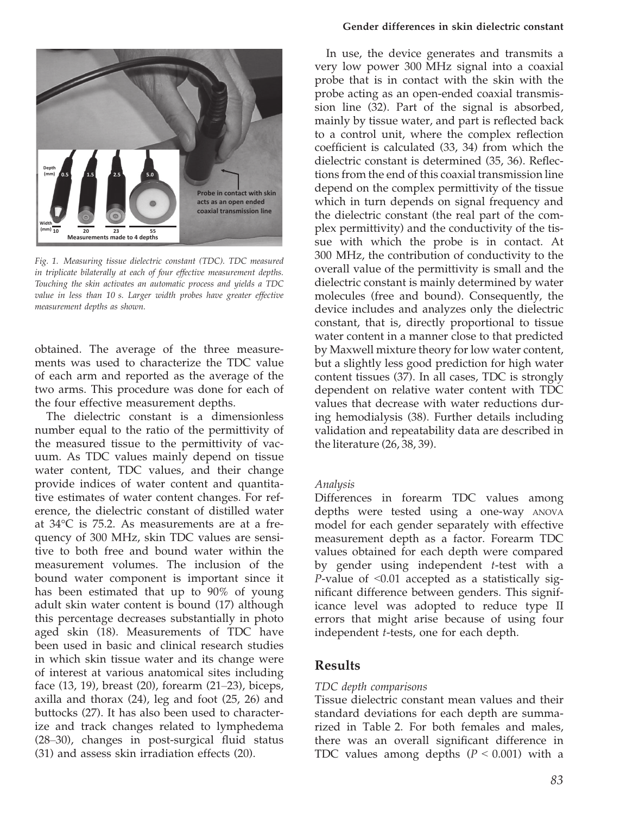

Fig. 1. Measuring tissue dielectric constant (TDC). TDC measured in triplicate bilaterally at each of four effective measurement depths. Touching the skin activates an automatic process and yields a TDC value in less than 10 s. Larger width probes have greater effective measurement depths as shown.

obtained. The average of the three measurements was used to characterize the TDC value of each arm and reported as the average of the two arms. This procedure was done for each of the four effective measurement depths.

The dielectric constant is a dimensionless number equal to the ratio of the permittivity of the measured tissue to the permittivity of vacuum. As TDC values mainly depend on tissue water content, TDC values, and their change provide indices of water content and quantitative estimates of water content changes. For reference, the dielectric constant of distilled water at 34°C is 75.2. As measurements are at a frequency of 300 MHz, skin TDC values are sensitive to both free and bound water within the measurement volumes. The inclusion of the bound water component is important since it has been estimated that up to 90% of young adult skin water content is bound (17) although this percentage decreases substantially in photo aged skin (18). Measurements of TDC have been used in basic and clinical research studies in which skin tissue water and its change were of interest at various anatomical sites including face (13, 19), breast (20), forearm (21–23), biceps, axilla and thorax (24), leg and foot (25, 26) and buttocks (27). It has also been used to characterize and track changes related to lymphedema (28–30), changes in post-surgical fluid status (31) and assess skin irradiation effects (20).

#### Gender differences in skin dielectric constant

In use, the device generates and transmits a very low power 300 MHz signal into a coaxial probe that is in contact with the skin with the probe acting as an open-ended coaxial transmission line (32). Part of the signal is absorbed, mainly by tissue water, and part is reflected back to a control unit, where the complex reflection coefficient is calculated (33, 34) from which the dielectric constant is determined (35, 36). Reflections from the end of this coaxial transmission line depend on the complex permittivity of the tissue which in turn depends on signal frequency and the dielectric constant (the real part of the complex permittivity) and the conductivity of the tissue with which the probe is in contact. At 300 MHz, the contribution of conductivity to the overall value of the permittivity is small and the dielectric constant is mainly determined by water molecules (free and bound). Consequently, the device includes and analyzes only the dielectric constant, that is, directly proportional to tissue water content in a manner close to that predicted by Maxwell mixture theory for low water content, but a slightly less good prediction for high water content tissues (37). In all cases, TDC is strongly dependent on relative water content with TDC values that decrease with water reductions during hemodialysis (38). Further details including validation and repeatability data are described in the literature (26, 38, 39).

## Analysis

Differences in forearm TDC values among depths were tested using a one-way ANOVA model for each gender separately with effective measurement depth as a factor. Forearm TDC values obtained for each depth were compared by gender using independent  $t$ -test with a *P*-value of  $\leq 0.01$  accepted as a statistically significant difference between genders. This significance level was adopted to reduce type II errors that might arise because of using four independent t-tests, one for each depth.

## Results

## TDC depth comparisons

Tissue dielectric constant mean values and their standard deviations for each depth are summarized in Table 2. For both females and males, there was an overall significant difference in TDC values among depths  $(P < 0.001)$  with a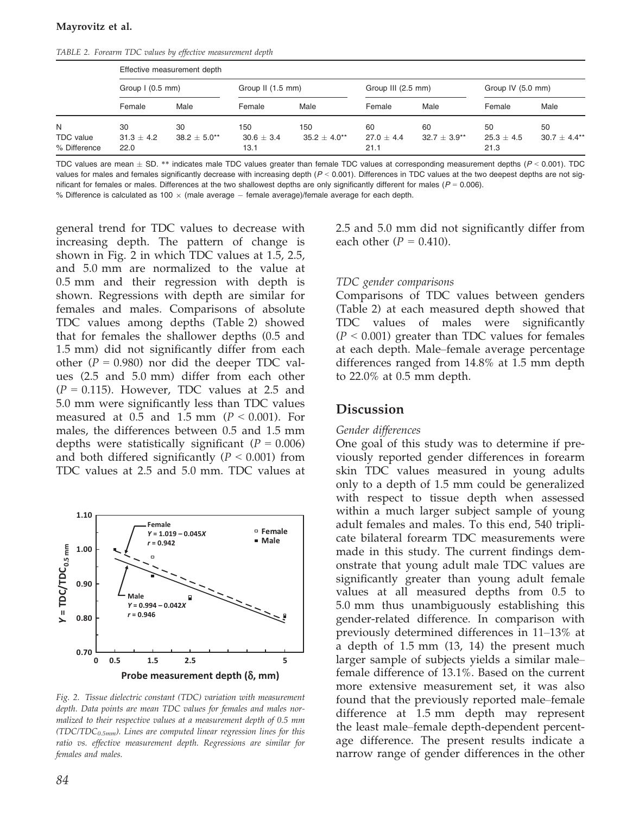TABLE 2. Forearm TDC values by effective measurement depth

|                                  | Effective measurement depth |                   |                        |                   |                      |                |                        |                |  |  |  |
|----------------------------------|-----------------------------|-------------------|------------------------|-------------------|----------------------|----------------|------------------------|----------------|--|--|--|
|                                  | Group $1(0.5$ mm)           |                   | Group II (1.5 mm)      |                   | Group III (2.5 mm)   |                | Group IV (5.0 mm)      |                |  |  |  |
|                                  | Female                      | Male              | Female                 | Male              | Female               | Male           | Female                 | Male           |  |  |  |
| N                                | 30                          | 30                | 150                    | 150               | 60                   | 60             | 50                     | 50             |  |  |  |
| <b>TDC</b> value<br>% Difference | $31.3 + 4.2$<br>22.0        | $38.2 + 5.0^{**}$ | $30.6 \pm 3.4$<br>13.1 | $35.2 + 4.0^{**}$ | $27.0 + 4.4$<br>21.1 | $32.7 + 3.9**$ | $25.3 \pm 4.5$<br>21.3 | $30.7 + 4.4**$ |  |  |  |

TDC values are mean  $\pm$  SD. \*\* indicates male TDC values greater than female TDC values at corresponding measurement depths ( $P$  < 0.001). TDC values for males and females significantly decrease with increasing depth  $(P < 0.001)$ . Differences in TDC values at the two deepest depths are not significant for females or males. Differences at the two shallowest depths are only significantly different for males ( $P = 0.006$ ). % Difference is calculated as 100  $\times$  (male average  $-$  female average)/female average for each depth.

general trend for TDC values to decrease with increasing depth. The pattern of change is shown in Fig. 2 in which TDC values at 1.5, 2.5, and 5.0 mm are normalized to the value at 0.5 mm and their regression with depth is shown. Regressions with depth are similar for females and males. Comparisons of absolute TDC values among depths (Table 2) showed that for females the shallower depths (0.5 and 1.5 mm) did not significantly differ from each other ( $P = 0.980$ ) nor did the deeper TDC values (2.5 and 5.0 mm) differ from each other  $(P = 0.115)$ . However, TDC values at 2.5 and 5.0 mm were significantly less than TDC values measured at 0.5 and 1.5 mm ( $P < 0.001$ ). For males, the differences between 0.5 and 1.5 mm depths were statistically significant  $(P = 0.006)$ and both differed significantly  $(P < 0.001)$  from TDC values at 2.5 and 5.0 mm. TDC values at



Fig. 2. Tissue dielectric constant (TDC) variation with measurement depth. Data points are mean TDC values for females and males normalized to their respective values at a measurement depth of 0.5 mm (TDC/TDC $_{0.5mm}$ ). Lines are computed linear regression lines for this ratio vs. effective measurement depth. Regressions are similar for females and males.

2.5 and 5.0 mm did not significantly differ from each other  $(P = 0.410)$ .

## TDC gender comparisons

Comparisons of TDC values between genders (Table 2) at each measured depth showed that TDC values of males were significantly  $(P < 0.001)$  greater than TDC values for females at each depth. Male–female average percentage differences ranged from 14.8% at 1.5 mm depth to 22.0% at 0.5 mm depth.

# Discussion

#### Gender differences

One goal of this study was to determine if previously reported gender differences in forearm skin TDC values measured in young adults only to a depth of 1.5 mm could be generalized with respect to tissue depth when assessed within a much larger subject sample of young adult females and males. To this end, 540 triplicate bilateral forearm TDC measurements were made in this study. The current findings demonstrate that young adult male TDC values are significantly greater than young adult female values at all measured depths from 0.5 to 5.0 mm thus unambiguously establishing this gender-related difference. In comparison with previously determined differences in 11–13% at a depth of 1.5 mm (13, 14) the present much larger sample of subjects yields a similar male– female difference of 13.1%. Based on the current more extensive measurement set, it was also found that the previously reported male–female difference at 1.5 mm depth may represent the least male–female depth-dependent percentage difference. The present results indicate a narrow range of gender differences in the other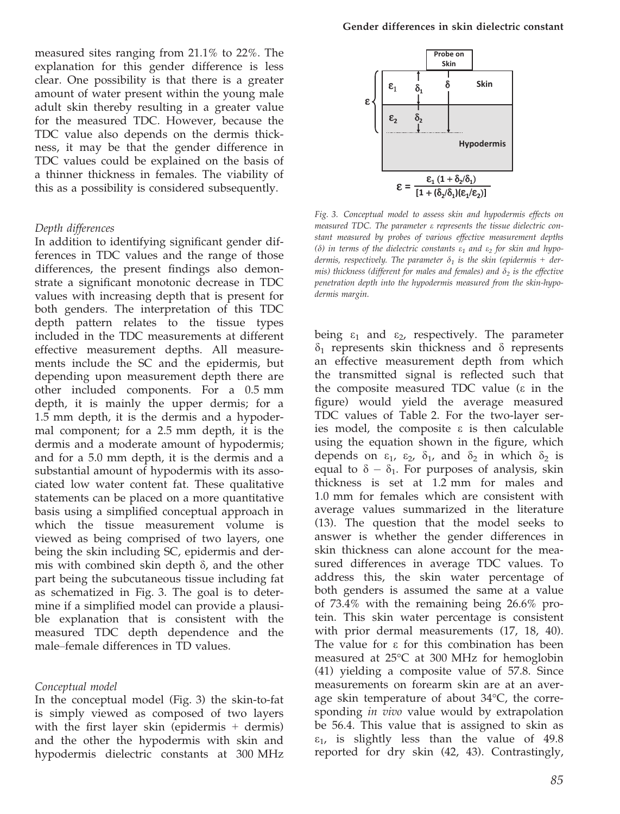measured sites ranging from 21.1% to 22%. The explanation for this gender difference is less clear. One possibility is that there is a greater amount of water present within the young male adult skin thereby resulting in a greater value for the measured TDC. However, because the TDC value also depends on the dermis thickness, it may be that the gender difference in TDC values could be explained on the basis of a thinner thickness in females. The viability of this as a possibility is considered subsequently.

#### Depth differences

In addition to identifying significant gender differences in TDC values and the range of those differences, the present findings also demonstrate a significant monotonic decrease in TDC values with increasing depth that is present for both genders. The interpretation of this TDC depth pattern relates to the tissue types included in the TDC measurements at different effective measurement depths. All measurements include the SC and the epidermis, but depending upon measurement depth there are other included components. For a 0.5 mm depth, it is mainly the upper dermis; for a 1.5 mm depth, it is the dermis and a hypodermal component; for a 2.5 mm depth, it is the dermis and a moderate amount of hypodermis; and for a 5.0 mm depth, it is the dermis and a substantial amount of hypodermis with its associated low water content fat. These qualitative statements can be placed on a more quantitative basis using a simplified conceptual approach in which the tissue measurement volume is viewed as being comprised of two layers, one being the skin including SC, epidermis and dermis with combined skin depth  $\delta$ , and the other part being the subcutaneous tissue including fat as schematized in Fig. 3. The goal is to determine if a simplified model can provide a plausible explanation that is consistent with the measured TDC depth dependence and the male–female differences in TD values.

#### Conceptual model

In the conceptual model (Fig. 3) the skin-to-fat is simply viewed as composed of two layers with the first layer skin (epidermis  $+$  dermis) and the other the hypodermis with skin and hypodermis dielectric constants at 300 MHz



Fig. 3. Conceptual model to assess skin and hypodermis effects on measured TDC. The parameter e represents the tissue dielectric constant measured by probes of various effective measurement depths ( $\delta$ ) in terms of the dielectric constants  $\varepsilon_1$  and  $\varepsilon_2$  for skin and hypodermis, respectively. The parameter  $\delta_1$  is the skin (epidermis + dermis) thickness (different for males and females) and  $\delta_2$  is the effective penetration depth into the hypodermis measured from the skin-hypodermis margin.

being  $\varepsilon_1$  and  $\varepsilon_2$ , respectively. The parameter  $\delta_1$  represents skin thickness and  $\delta$  represents an effective measurement depth from which the transmitted signal is reflected such that the composite measured TDC value (e in the figure) would yield the average measured TDC values of Table 2. For the two-layer series model, the composite  $\varepsilon$  is then calculable using the equation shown in the figure, which depends on  $\varepsilon_1$ ,  $\varepsilon_2$ ,  $\delta_1$ , and  $\delta_2$  in which  $\delta_2$  is equal to  $\delta - \delta_1$ . For purposes of analysis, skin thickness is set at 1.2 mm for males and 1.0 mm for females which are consistent with average values summarized in the literature (13). The question that the model seeks to answer is whether the gender differences in skin thickness can alone account for the measured differences in average TDC values. To address this, the skin water percentage of both genders is assumed the same at a value of 73.4% with the remaining being 26.6% protein. This skin water percentage is consistent with prior dermal measurements (17, 18, 40). The value for  $\varepsilon$  for this combination has been measured at 25°C at 300 MHz for hemoglobin (41) yielding a composite value of 57.8. Since measurements on forearm skin are at an average skin temperature of about 34°C, the corresponding *in vivo* value would by extrapolation be 56.4. This value that is assigned to skin as  $\varepsilon_1$ , is slightly less than the value of 49.8 reported for dry skin (42, 43). Contrastingly,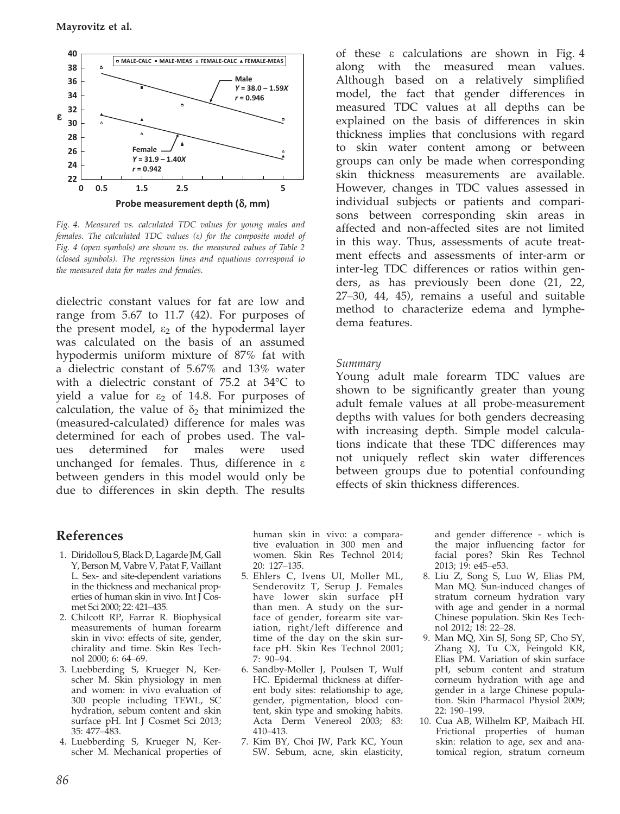

Fig. 4. Measured vs. calculated TDC values for young males and females. The calculated TDC values (e) for the composite model of Fig. 4 (open symbols) are shown vs. the measured values of Table 2 (closed symbols). The regression lines and equations correspond to the measured data for males and females.

dielectric constant values for fat are low and range from 5.67 to 11.7 (42). For purposes of the present model,  $\varepsilon_2$  of the hypodermal layer was calculated on the basis of an assumed hypodermis uniform mixture of 87% fat with a dielectric constant of 5.67% and 13% water with a dielectric constant of 75.2 at 34°C to yield a value for  $\varepsilon_2$  of 14.8. For purposes of calculation, the value of  $\delta_2$  that minimized the (measured-calculated) difference for males was determined for each of probes used. The values determined for males were used unchanged for females. Thus, difference in  $\varepsilon$ between genders in this model would only be due to differences in skin depth. The results

# References

- 1. Diridollou S, Black D, Lagarde JM, Gall Y, Berson M, Vabre V, Patat F, Vaillant L. Sex- and site-dependent variations in the thickness and mechanical properties of human skin in vivo. Int J Cosmet Sci 2000; 22: 421–435.
- 2. Chilcott RP, Farrar R. Biophysical measurements of human forearm skin in vivo: effects of site, gender, chirality and time. Skin Res Technol 2000; 6: 64–69.
- 3. Luebberding S, Krueger N, Kerscher M. Skin physiology in men and women: in vivo evaluation of 300 people including TEWL, SC hydration, sebum content and skin surface pH. Int J Cosmet Sci 2013; 35: 477–483.
- 4. Luebberding S, Krueger N, Kerscher M. Mechanical properties of

human skin in vivo: a comparative evaluation in 300 men and women. Skin Res Technol 2014; 20: 127–135.

- 5. Ehlers C, Ivens UI, Moller ML, Senderovitz T, Serup J. Females have lower skin surface pH than men. A study on the surface of gender, forearm site variation, right/left difference and time of the day on the skin surface pH. Skin Res Technol 2001; 7: 90–94.
- 6. Sandby-Moller J, Poulsen T, Wulf HC. Epidermal thickness at different body sites: relationship to age, gender, pigmentation, blood content, skin type and smoking habits. Acta Derm Venereol 2003; 83: 410–413.
- 7. Kim BY, Choi JW, Park KC, Youn SW. Sebum, acne, skin elasticity,

of these e calculations are shown in Fig. 4 along with the measured mean values. Although based on a relatively simplified model, the fact that gender differences in measured TDC values at all depths can be explained on the basis of differences in skin thickness implies that conclusions with regard to skin water content among or between groups can only be made when corresponding skin thickness measurements are available. However, changes in TDC values assessed in individual subjects or patients and comparisons between corresponding skin areas in affected and non-affected sites are not limited in this way. Thus, assessments of acute treatment effects and assessments of inter-arm or inter-leg TDC differences or ratios within genders, as has previously been done (21, 22, 27–30, 44, 45), remains a useful and suitable method to characterize edema and lymphedema features.

## Summary

Young adult male forearm TDC values are shown to be significantly greater than young adult female values at all probe-measurement depths with values for both genders decreasing with increasing depth. Simple model calculations indicate that these TDC differences may not uniquely reflect skin water differences between groups due to potential confounding effects of skin thickness differences.

> and gender difference - which is the major influencing factor for facial pores? Skin Res Technol 2013; 19: e45–e53.

- 8. Liu Z, Song S, Luo W, Elias PM, Man MQ. Sun-induced changes of stratum corneum hydration vary with age and gender in a normal Chinese population. Skin Res Technol 2012; 18: 22–28.
- 9. Man MQ, Xin SJ, Song SP, Cho SY, Zhang XJ, Tu CX, Feingold KR, Elias PM. Variation of skin surface pH, sebum content and stratum corneum hydration with age and gender in a large Chinese population. Skin Pharmacol Physiol 2009; 22: 190–199.
- 10. Cua AB, Wilhelm KP, Maibach HI. Frictional properties of human skin: relation to age, sex and anatomical region, stratum corneum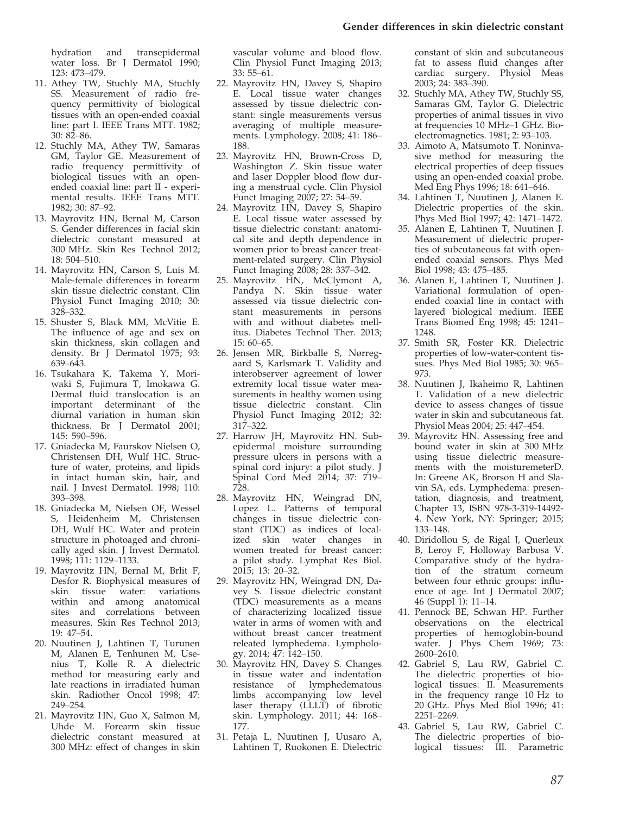hydration and transepidermal water loss. Br J Dermatol 1990; 123: 473–479.

- 11. Athey TW, Stuchly MA, Stuchly SS. Measurement of radio frequency permittivity of biological tissues with an open-ended coaxial line: part I. IEEE Trans MTT. 1982; 30: 82–86.
- 12. Stuchly MA, Athey TW, Samaras GM, Taylor GE. Measurement of radio frequency permittivity of biological tissues with an openended coaxial line: part II - experimental results. IEEE Trans MTT. 1982; 30: 87–92.
- 13. Mayrovitz HN, Bernal M, Carson S. Gender differences in facial skin dielectric constant measured at 300 MHz. Skin Res Technol 2012; 18: 504–510.
- 14. Mayrovitz HN, Carson S, Luis M. Male-female differences in forearm skin tissue dielectric constant. Clin Physiol Funct Imaging 2010; 30: 328–332.
- 15. Shuster S, Black MM, McVitie E. The influence of age and sex on skin thickness, skin collagen and density. Br J Dermatol 1975; 93: 639–643.
- 16. Tsukahara K, Takema Y, Moriwaki S, Fujimura T, Imokawa G. Dermal fluid translocation is an important determinant of the diurnal variation in human skin thickness. Br J Dermatol 2001; 145: 590–596.
- 17. Gniadecka M, Faurskov Nielsen O, Christensen DH, Wulf HC. Structure of water, proteins, and lipids in intact human skin, hair, and nail. J Invest Dermatol. 1998; 110: 393–398.
- 18. Gniadecka M, Nielsen OF, Wessel S, Heidenheim M, Christensen DH, Wulf HC. Water and protein structure in photoaged and chronically aged skin. J Invest Dermatol. 1998; 111: 1129–1133.
- 19. Mayrovitz HN, Bernal M, Brlit F, Desfor R. Biophysical measures of skin tissue water: variations within and among anatomical sites and correlations between measures. Skin Res Technol 2013; 19: 47–54.
- 20. Nuutinen J, Lahtinen T, Turunen M, Alanen E, Tenhunen M, Usenius T, Kolle R. A dielectric method for measuring early and late reactions in irradiated human skin. Radiother Oncol 1998; 47: 249–254.
- 21. Mayrovitz HN, Guo X, Salmon M, Uhde M. Forearm skin tissue dielectric constant measured at 300 MHz: effect of changes in skin

vascular volume and blood flow. Clin Physiol Funct Imaging 2013; 33: 55–61.

- 22. Mayrovitz HN, Davey S, Shapiro E. Local tissue water changes assessed by tissue dielectric constant: single measurements versus averaging of multiple measurements. Lymphology. 2008; 41: 186– 188.
- 23. Mayrovitz HN, Brown-Cross D, Washington Z. Skin tissue water and laser Doppler blood flow during a menstrual cycle. Clin Physiol Funct Imaging 2007; 27: 54–59.
- 24. Mayrovitz HN, Davey S, Shapiro E. Local tissue water assessed by tissue dielectric constant: anatomical site and depth dependence in women prior to breast cancer treatment-related surgery. Clin Physiol Funct Imaging 2008; 28: 337–342.
- 25. Mayrovitz HN, McClymont A, Pandya N. Skin tissue water assessed via tissue dielectric constant measurements in persons with and without diabetes mellitus. Diabetes Technol Ther. 2013; 15: 60–65.
- 26. Jensen MR, Birkballe S, Nørregaard S, Karlsmark T. Validity and interobserver agreement of lower extremity local tissue water measurements in healthy women using tissue dielectric constant. Clin Physiol Funct Imaging 2012; 32: 317–322.
- 27. Harrow JH, Mayrovitz HN. Subepidermal moisture surrounding pressure ulcers in persons with a spinal cord injury: a pilot study. J Spinal Cord Med 2014; 37: 719– 728.
- 28. Mayrovitz HN, Weingrad DN, Lopez L. Patterns of temporal changes in tissue dielectric constant (TDC) as indices of localized skin water changes in women treated for breast cancer: a pilot study. Lymphat Res Biol. 2015; 13: 20–32.
- 29. Mayrovitz HN, Weingrad DN, Davey S. Tissue dielectric constant (TDC) measurements as a means of characterizing localized tissue water in arms of women with and without breast cancer treatment releated lymphedema. Lymphology. 2014; 47: 142–150.
- 30. Mayrovitz HN, Davey S. Changes in tissue water and indentation resistance of lymphedematous limbs accompanying low level laser therapy (LLLT) of fibrotic skin. Lymphology. 2011; 44: 168– 177.
- 31. Petaja L, Nuutinen J, Uusaro A, Lahtinen T, Ruokonen E. Dielectric

constant of skin and subcutaneous fat to assess fluid changes after cardiac surgery. Physiol Meas 2003; 24: 383–390.

- 32. Stuchly MA, Athey TW, Stuchly SS, Samaras GM, Taylor G. Dielectric properties of animal tissues in vivo at frequencies 10 MHz–1 GHz. Bioelectromagnetics. 1981; 2: 93–103.
- 33. Aimoto A, Matsumoto T. Noninvasive method for measuring the electrical properties of deep tissues using an open-ended coaxial probe. Med Eng Phys 1996; 18: 641–646.
- 34. Lahtinen T, Nuutinen J, Alanen E. Dielectric properties of the skin. Phys Med Biol 1997; 42: 1471–1472.
- 35. Alanen E, Lahtinen T, Nuutinen J. Measurement of dielectric properties of subcutaneous fat with openended coaxial sensors. Phys Med Biol 1998; 43: 475–485.
- 36. Alanen E, Lahtinen T, Nuutinen J. Variational formulation of openended coaxial line in contact with layered biological medium. IEEE Trans Biomed Eng 1998; 45: 1241– 1248.
- 37. Smith SR, Foster KR. Dielectric properties of low-water-content tissues. Phys Med Biol 1985; 30: 965– 973.
- 38. Nuutinen J, Ikaheimo R, Lahtinen T. Validation of a new dielectric device to assess changes of tissue water in skin and subcutaneous fat. Physiol Meas 2004; 25: 447–454.
- 39. Mayrovitz HN. Assessing free and bound water in skin at 300 MHz using tissue dielectric measurements with the moisturemeterD. In: Greene AK, Brorson H and Slavin SA, eds. Lymphedema: presentation, diagnosis, and treatment, Chapter 13, ISBN 978-3-319-14492- 4. New York, NY: Springer; 2015; 133–148.
- 40. Diridollou S, de Rigal J, Querleux B, Leroy F, Holloway Barbosa V. Comparative study of the hydration of the stratum corneum between four ethnic groups: influence of age. Int J Dermatol 2007; 46 (Suppl 1): 11–14.
- 41. Pennock BE, Schwan HP. Further observations on the electrical properties of hemoglobin-bound water. J Phys Chem 1969; 73: 2600–2610.
- 42. Gabriel S, Lau RW, Gabriel C. The dielectric properties of biological tissues: II. Measurements in the frequency range 10 Hz to 20 GHz. Phys Med Biol 1996; 41: 2251–2269.
- 43. Gabriel S, Lau RW, Gabriel C. The dielectric properties of biological tissues: III. Parametric